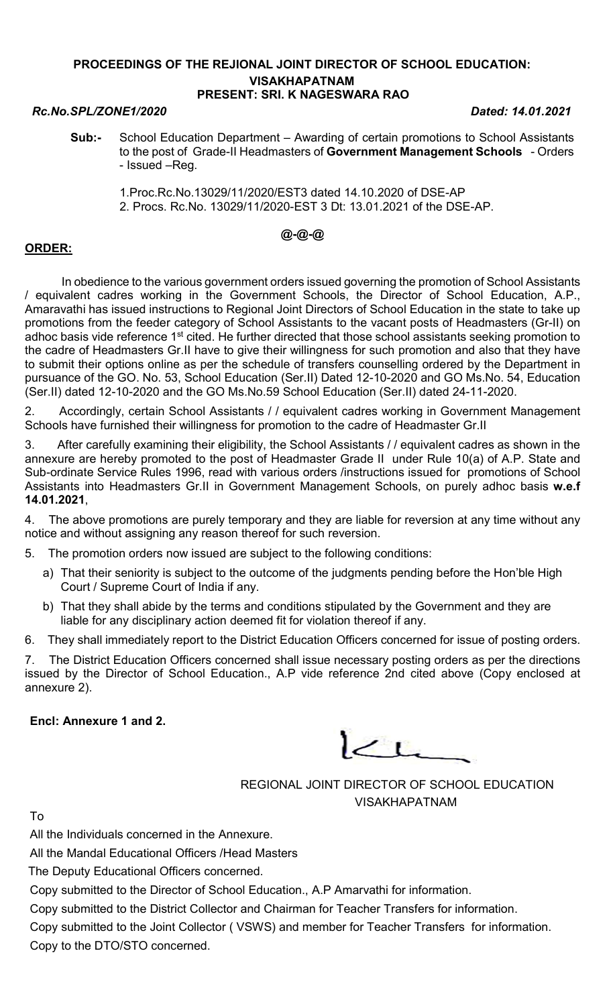### PROCEEDINGS OF THE REJIONAL JOINT DIRECTOR OF SCHOOL EDUCATION: VISAKHAPATNAM PRESENT: SRI. K NAGESWARA RAO

### Rc.No.SPL/ZONE1/2020 Dated: 14.01.2021

- Sub:- School Education Department Awarding of certain promotions to School Assistants to the post of Grade-II Headmasters of Government Management Schools - Orders - Issued –Reg.
	- 1.Proc.Rc.No.13029/11/2020/EST3 dated 14.10.2020 of DSE-AP 2. Procs. Rc.No. 13029/11/2020-EST 3 Dt: 13.01.2021 of the DSE-AP.

## @-@-@

## ORDER:

 In obedience to the various government orders issued governing the promotion of School Assistants / equivalent cadres working in the Government Schools, the Director of School Education, A.P., Amaravathi has issued instructions to Regional Joint Directors of School Education in the state to take up promotions from the feeder category of School Assistants to the vacant posts of Headmasters (Gr-II) on adhoc basis vide reference 1<sup>st</sup> cited. He further directed that those school assistants seeking promotion to the cadre of Headmasters Gr.II have to give their willingness for such promotion and also that they have to submit their options online as per the schedule of transfers counselling ordered by the Department in pursuance of the GO. No. 53, School Education (Ser.II) Dated 12-10-2020 and GO Ms.No. 54, Education (Ser.II) dated 12-10-2020 and the GO Ms.No.59 School Education (Ser.II) dated 24-11-2020.

2. Accordingly, certain School Assistants / / equivalent cadres working in Government Management Schools have furnished their willingness for promotion to the cadre of Headmaster Gr.II

3. After carefully examining their eligibility, the School Assistants / / equivalent cadres as shown in the annexure are hereby promoted to the post of Headmaster Grade II under Rule 10(a) of A.P. State and Sub-ordinate Service Rules 1996, read with various orders /instructions issued for promotions of School Assistants into Headmasters Gr.II in Government Management Schools, on purely adhoc basis w.e.f 14.01.2021,

4. The above promotions are purely temporary and they are liable for reversion at any time without any notice and without assigning any reason thereof for such reversion.

5. The promotion orders now issued are subject to the following conditions:

- a) That their seniority is subject to the outcome of the judgments pending before the Hon'ble High Court / Supreme Court of India if any.
- b) That they shall abide by the terms and conditions stipulated by the Government and they are liable for any disciplinary action deemed fit for violation thereof if any.

6. They shall immediately report to the District Education Officers concerned for issue of posting orders.

7. The District Education Officers concerned shall issue necessary posting orders as per the directions issued by the Director of School Education., A.P vide reference 2nd cited above (Copy enclosed at annexure 2).

### Encl: Annexure 1 and 2.

 $L$ 

REGIONAL JOINT DIRECTOR OF SCHOOL EDUCATION VISAKHAPATNAM

To

All the Individuals concerned in the Annexure.

All the Mandal Educational Officers /Head Masters

The Deputy Educational Officers concerned.

Copy submitted to the Director of School Education., A.P Amarvathi for information.

Copy submitted to the District Collector and Chairman for Teacher Transfers for information.

Copy submitted to the Joint Collector ( VSWS) and member for Teacher Transfers for information. Copy to the DTO/STO concerned.